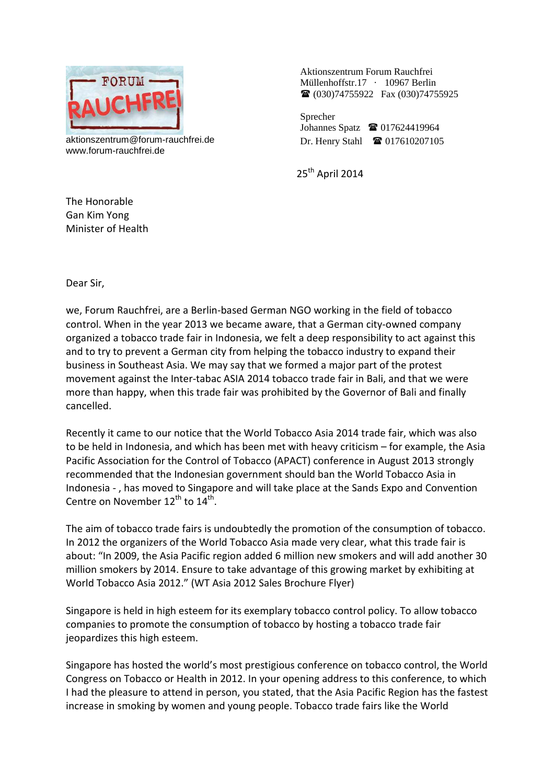

aktionszentrum@forum-rauchfrei.de www.forum-rauchfrei.de

Aktionszentrum Forum Rauchfrei Müllenhoffstr.17 · 10967 Berlin (030)74755922 Fax (030)74755925

Sprecher Johannes Spatz **1** 017624419964 Dr. Henry Stahl  $\bullet$  017610207105

25<sup>th</sup> April 2014

The Honorable Gan Kim Yong Minister of Health

Dear Sir,

we, Forum Rauchfrei, are a Berlin-based German NGO working in the field of tobacco control. When in the year 2013 we became aware, that a German city-owned company organized a tobacco trade fair in Indonesia, we felt a deep responsibility to act against this and to try to prevent a German city from helping the tobacco industry to expand their business in Southeast Asia. We may say that we formed a major part of the protest movement against the Inter-tabac ASIA 2014 tobacco trade fair in Bali, and that we were more than happy, when this trade fair was prohibited by the Governor of Bali and finally cancelled.

Recently it came to our notice that the World Tobacco Asia 2014 trade fair, which was also to be held in Indonesia, and which has been met with heavy criticism – for example, the Asia Pacific Association for the Control of Tobacco (APACT) conference in August 2013 strongly recommended that the Indonesian government should ban the World Tobacco Asia in Indonesia - , has moved to Singapore and will take place at the Sands Expo and Convention Centre on November 12<sup>th</sup> to 14<sup>th</sup>.

The aim of tobacco trade fairs is undoubtedly the promotion of the consumption of tobacco. In 2012 the organizers of the World Tobacco Asia made very clear, what this trade fair is about: "In 2009, the Asia Pacific region added 6 million new smokers and will add another 30 million smokers by 2014. Ensure to take advantage of this growing market by exhibiting at World Tobacco Asia 2012." (WT Asia 2012 Sales Brochure Flyer)

Singapore is held in high esteem for its exemplary tobacco control policy. To allow tobacco companies to promote the consumption of tobacco by hosting a tobacco trade fair jeopardizes this high esteem.

Singapore has hosted the world's most prestigious conference on tobacco control, the World Congress on Tobacco or Health in 2012. In your opening address to this conference, to which I had the pleasure to attend in person, you stated, that the Asia Pacific Region has the fastest increase in smoking by women and young people. Tobacco trade fairs like the World